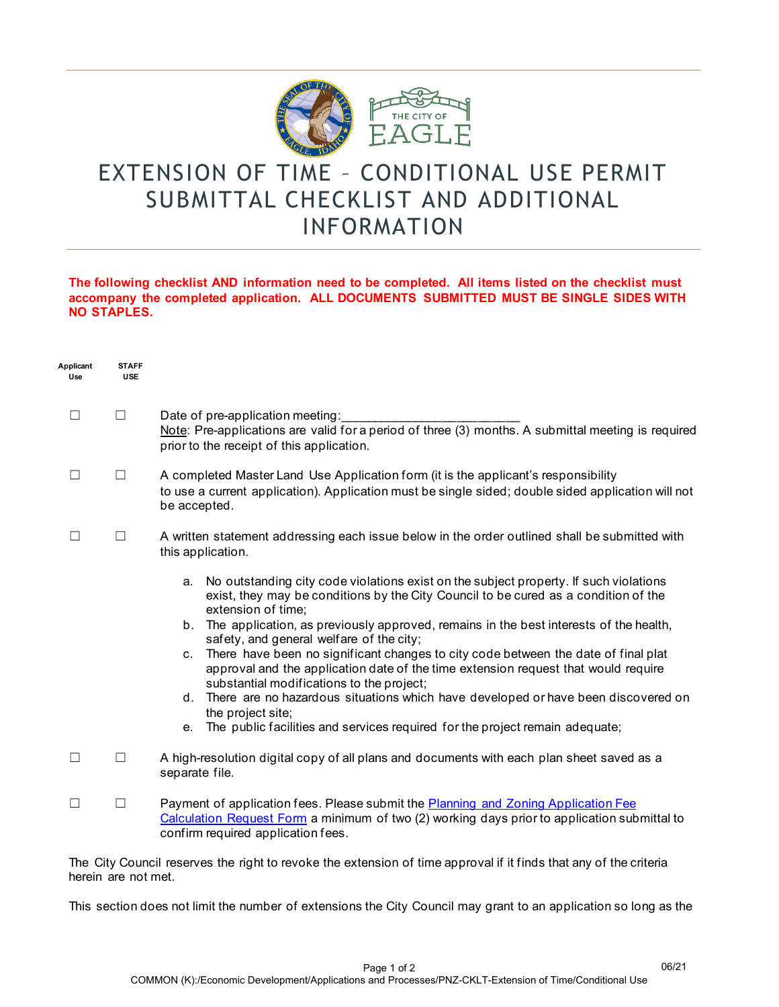

## EXTENSION OF TIME – CONDITIONAL USE PERMIT SUBMITTAL CHECKLIST AND ADDITIONAL INFORMATION

## **The following checklist AND information need to be completed. All items listed on the checklist must accompany the completed application. ALL DOCUMENTS SUBMITTED MUST BE SINGLE SIDES WITH NO STAPLES.**

| Applicant<br>Use | <b>STAFF</b><br><b>USE</b> |                                                                                                                                                                                                                                                                                                                                                                                                                                                                                                                                                                                                                                                                                                                                                                              |
|------------------|----------------------------|------------------------------------------------------------------------------------------------------------------------------------------------------------------------------------------------------------------------------------------------------------------------------------------------------------------------------------------------------------------------------------------------------------------------------------------------------------------------------------------------------------------------------------------------------------------------------------------------------------------------------------------------------------------------------------------------------------------------------------------------------------------------------|
| □                | $\Box$                     | Date of pre-application meeting:<br>Note: Pre-applications are valid for a period of three (3) months. A submittal meeting is required<br>prior to the receipt of this application.                                                                                                                                                                                                                                                                                                                                                                                                                                                                                                                                                                                          |
| □                | ш                          | A completed Master Land Use Application form (it is the applicant's responsibility<br>to use a current application). Application must be single sided; double sided application will not<br>be accepted.                                                                                                                                                                                                                                                                                                                                                                                                                                                                                                                                                                     |
| П                | $\Box$                     | A written statement addressing each issue below in the order outlined shall be submitted with<br>this application.                                                                                                                                                                                                                                                                                                                                                                                                                                                                                                                                                                                                                                                           |
|                  |                            | No outstanding city code violations exist on the subject property. If such violations<br>a.<br>exist, they may be conditions by the City Council to be cured as a condition of the<br>extension of time;<br>b. The application, as previously approved, remains in the best interests of the health,<br>safety, and general welfare of the city;<br>c. There have been no significant changes to city code between the date of final plat<br>approval and the application date of the time extension request that would require<br>substantial modifications to the project;<br>d. There are no hazardous situations which have developed or have been discovered on<br>the project site;<br>e. The public facilities and services required for the project remain adequate; |
| $\Box$           | $\Box$                     | A high-resolution digital copy of all plans and documents with each plan sheet saved as a<br>separate file.                                                                                                                                                                                                                                                                                                                                                                                                                                                                                                                                                                                                                                                                  |
| П                | П                          | Payment of application fees. Please submit the Planning and Zoning Application Fee<br>Calculation Request Form a minimum of two (2) working days prior to application submittal to<br>confirm required application fees.                                                                                                                                                                                                                                                                                                                                                                                                                                                                                                                                                     |
|                  |                            |                                                                                                                                                                                                                                                                                                                                                                                                                                                                                                                                                                                                                                                                                                                                                                              |

The City Council reserves the right to revoke the extension of time approval if it finds that any of the criteria herein are not met.

This section does not limit the number of extensions the City Council may grant to an application so long as the